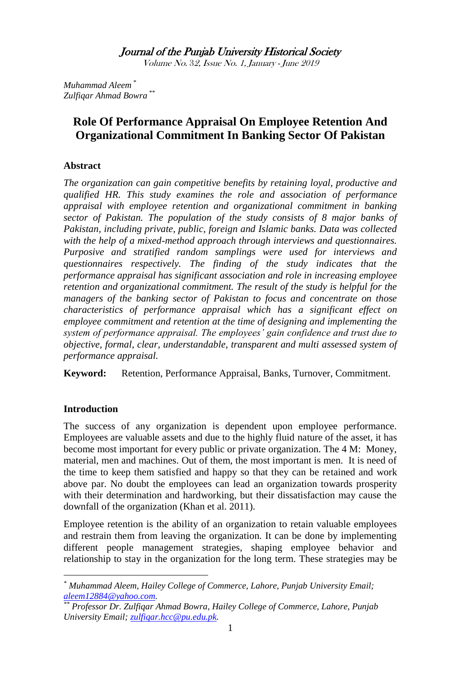Journal of the Punjab University Historical Society

Volume No. 32, Issue No. 1, January - June <sup>2019</sup>

*Muhammad Aleem \* Zulfiqar Ahmad Bowra \*\**

# **Role Of Performance Appraisal On Employee Retention And Organizational Commitment In Banking Sector Of Pakistan**

# **Abstract**

*The organization can gain competitive benefits by retaining loyal, productive and qualified HR. This study examines the role and association of performance appraisal with employee retention and organizational commitment in banking sector of Pakistan. The population of the study consists of 8 major banks of Pakistan, including private, public, foreign and Islamic banks. Data was collected with the help of a mixed-method approach through interviews and questionnaires. Purposive and stratified random samplings were used for interviews and questionnaires respectively. The finding of the study indicates that the performance appraisal has significant association and role in increasing employee retention and organizational commitment. The result of the study is helpful for the managers of the banking sector of Pakistan to focus and concentrate on those characteristics of performance appraisal which has a significant effect on employee commitment and retention at the time of designing and implementing the system of performance appraisal. The employees' gain confidence and trust due to objective, formal, clear, understandable, transparent and multi assessed system of performance appraisal.*

**Keyword:** Retention, Performance Appraisal, Banks, Turnover, Commitment.

### **Introduction**

1

The success of any organization is dependent upon employee performance. Employees are valuable assets and due to the highly fluid nature of the asset, it has become most important for every public or private organization. The 4 M: Money, material, men and machines. Out of them, the most important is men. It is need of the time to keep them satisfied and happy so that they can be retained and work above par. No doubt the employees can lead an organization towards prosperity with their determination and hardworking, but their dissatisfaction may cause the downfall of the organization (Khan et al. 2011).

Employee retention is the ability of an organization to retain valuable employees and restrain them from leaving the organization. It can be done by implementing different people management strategies, shaping employee behavior and relationship to stay in the organization for the long term. These strategies may be

*<sup>\*</sup> Muhammad Aleem, Hailey College of Commerce, Lahore, Punjab University Email; [aleem12884@yahoo.com.](mailto:aleem12884@yahoo.com)* 

*<sup>\*\*</sup> Professor Dr. Zulfiqar Ahmad Bowra, Hailey College of Commerce, Lahore, Punjab University Email; [zulfiqar.hcc@pu.edu.pk.](mailto:zulfiqar.hcc@pu.edu.pk)*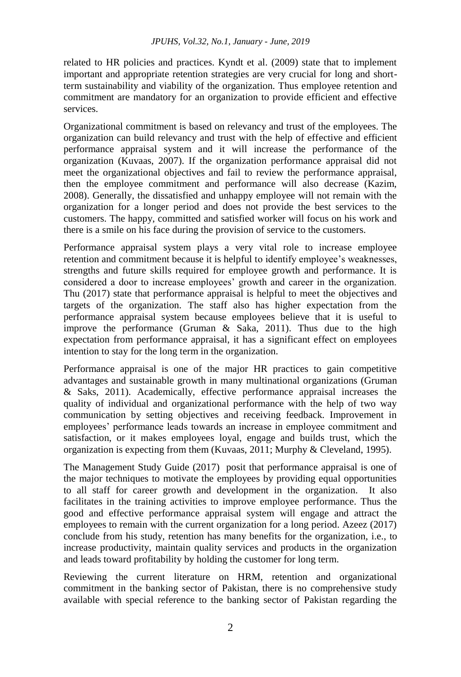related to HR policies and practices. Kyndt et al. (2009) state that to implement important and appropriate retention strategies are very crucial for long and shortterm sustainability and viability of the organization. Thus employee retention and commitment are mandatory for an organization to provide efficient and effective services.

Organizational commitment is based on relevancy and trust of the employees. The organization can build relevancy and trust with the help of effective and efficient performance appraisal system and it will increase the performance of the organization (Kuvaas, 2007). If the organization performance appraisal did not meet the organizational objectives and fail to review the performance appraisal, then the employee commitment and performance will also decrease (Kazim, 2008). Generally, the dissatisfied and unhappy employee will not remain with the organization for a longer period and does not provide the best services to the customers. The happy, committed and satisfied worker will focus on his work and there is a smile on his face during the provision of service to the customers.

Performance appraisal system plays a very vital role to increase employee retention and commitment because it is helpful to identify employee's weaknesses, strengths and future skills required for employee growth and performance. It is considered a door to increase employees' growth and career in the organization. Thu (2017) state that performance appraisal is helpful to meet the objectives and targets of the organization. The staff also has higher expectation from the performance appraisal system because employees believe that it is useful to improve the performance (Gruman & Saka, 2011). Thus due to the high expectation from performance appraisal, it has a significant effect on employees intention to stay for the long term in the organization.

Performance appraisal is one of the major HR practices to gain competitive advantages and sustainable growth in many multinational organizations (Gruman & Saks, 2011). Academically, effective performance appraisal increases the quality of individual and organizational performance with the help of two way communication by setting objectives and receiving feedback. Improvement in employees" performance leads towards an increase in employee commitment and satisfaction, or it makes employees loyal, engage and builds trust, which the organization is expecting from them (Kuvaas, 2011; Murphy & Cleveland, 1995).

The Management Study Guide (2017) posit that performance appraisal is one of the major techniques to motivate the employees by providing equal opportunities to all staff for career growth and development in the organization. It also facilitates in the training activities to improve employee performance. Thus the good and effective performance appraisal system will engage and attract the employees to remain with the current organization for a long period. Azeez (2017) conclude from his study, retention has many benefits for the organization, i.e., to increase productivity, maintain quality services and products in the organization and leads toward profitability by holding the customer for long term.

Reviewing the current literature on HRM, retention and organizational commitment in the banking sector of Pakistan, there is no comprehensive study available with special reference to the banking sector of Pakistan regarding the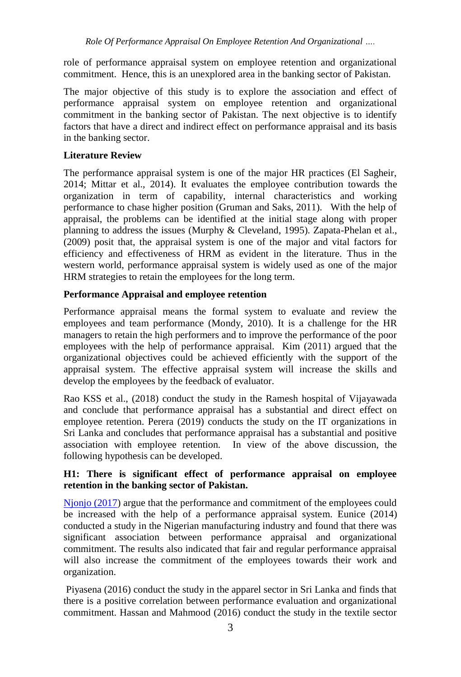role of performance appraisal system on employee retention and organizational commitment. Hence, this is an unexplored area in the banking sector of Pakistan.

The major objective of this study is to explore the association and effect of performance appraisal system on employee retention and organizational commitment in the banking sector of Pakistan. The next objective is to identify factors that have a direct and indirect effect on performance appraisal and its basis in the banking sector.

# **Literature Review**

The performance appraisal system is one of the major HR practices (El Sagheir, 2014; Mittar et al., 2014). It evaluates the employee contribution towards the organization in term of capability, internal characteristics and working performance to chase higher position (Gruman and Saks, 2011). With the help of appraisal, the problems can be identified at the initial stage along with proper planning to address the issues (Murphy & Cleveland, 1995). Zapata-Phelan et al., (2009) posit that, the appraisal system is one of the major and vital factors for efficiency and effectiveness of HRM as evident in the literature. Thus in the western world, performance appraisal system is widely used as one of the major HRM strategies to retain the employees for the long term.

# **Performance Appraisal and employee retention**

Performance appraisal means the formal system to evaluate and review the employees and team performance (Mondy, 2010). It is a challenge for the HR managers to retain the high performers and to improve the performance of the poor employees with the help of performance appraisal. Kim (2011) argued that the organizational objectives could be achieved efficiently with the support of the appraisal system. The effective appraisal system will increase the skills and develop the employees by the feedback of evaluator.

Rao KSS et al., (2018) conduct the study in the Ramesh hospital of Vijayawada and conclude that performance appraisal has a substantial and direct effect on employee retention. Perera (2019) conducts the study on the IT organizations in Sri Lanka and concludes that performance appraisal has a substantial and positive association with employee retention. In view of the above discussion, the following hypothesis can be developed.

# **H1: There is significant effect of performance appraisal on employee retention in the banking sector of Pakistan.**

[Njonjo \(2017\)](file:///D:/Journals/JPUHS%20Journal/Vol%2032,%20No.%201%20Jan%202019/Aleem%20C-o%20Zulfiqar%20Bowra/Aleem%20Paper%201.docx%23_ENREF_13) argue that the performance and commitment of the employees could be increased with the help of a performance appraisal system. Eunice (2014) conducted a study in the Nigerian manufacturing industry and found that there was significant association between performance appraisal and organizational commitment. The results also indicated that fair and regular performance appraisal will also increase the commitment of the employees towards their work and organization.

Piyasena (2016) conduct the study in the apparel sector in Sri Lanka and finds that there is a positive correlation between performance evaluation and organizational commitment. Hassan and Mahmood (2016) conduct the study in the textile sector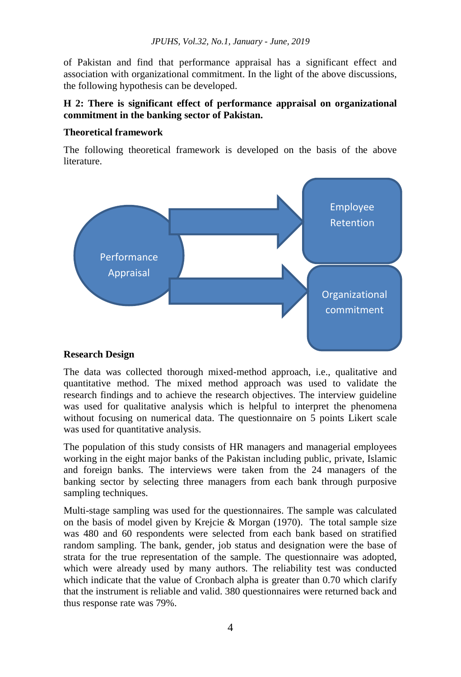of Pakistan and find that performance appraisal has a significant effect and association with organizational commitment. In the light of the above discussions, the following hypothesis can be developed.

### **H 2: There is significant effect of performance appraisal on organizational commitment in the banking sector of Pakistan.**

# **Theoretical framework**

The following theoretical framework is developed on the basis of the above literature.



### **Research Design**

The data was collected thorough mixed-method approach, i.e., qualitative and quantitative method. The mixed method approach was used to validate the research findings and to achieve the research objectives. The interview guideline was used for qualitative analysis which is helpful to interpret the phenomena without focusing on numerical data. The questionnaire on 5 points Likert scale was used for quantitative analysis.

The population of this study consists of HR managers and managerial employees working in the eight major banks of the Pakistan including public, private, Islamic and foreign banks. The interviews were taken from the 24 managers of the banking sector by selecting three managers from each bank through purposive sampling techniques.

Multi-stage sampling was used for the questionnaires. The sample was calculated on the basis of model given by Krejcie & Morgan (1970). The total sample size was 480 and 60 respondents were selected from each bank based on stratified random sampling. The bank, gender, job status and designation were the base of strata for the true representation of the sample. The questionnaire was adopted, which were already used by many authors. The reliability test was conducted which indicate that the value of Cronbach alpha is greater than 0.70 which clarify that the instrument is reliable and valid. 380 questionnaires were returned back and thus response rate was 79%.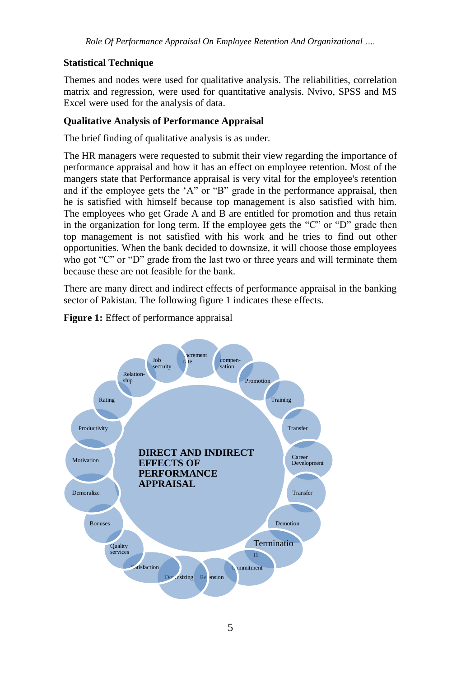*Role Of Performance Appraisal On Employee Retention And Organizational ….*

# **Statistical Technique**

Themes and nodes were used for qualitative analysis. The reliabilities, correlation matrix and regression, were used for quantitative analysis. Nvivo, SPSS and MS Excel were used for the analysis of data.

# **Qualitative Analysis of Performance Appraisal**

The brief finding of qualitative analysis is as under.

The HR managers were requested to submit their view regarding the importance of performance appraisal and how it has an effect on employee retention. Most of the mangers state that Performance appraisal is very vital for the employee's retention and if the employee gets the "A" or "B" grade in the performance appraisal, then he is satisfied with himself because top management is also satisfied with him. The employees who get Grade A and B are entitled for promotion and thus retain in the organization for long term. If the employee gets the "C" or "D" grade then top management is not satisfied with his work and he tries to find out other opportunities. When the bank decided to downsize, it will choose those employees who got "C" or "D" grade from the last two or three years and will terminate them because these are not feasible for the bank.

There are many direct and indirect effects of performance appraisal in the banking sector of Pakistan. The following figure 1 indicates these effects.



# **Figure 1:** Effect of performance appraisal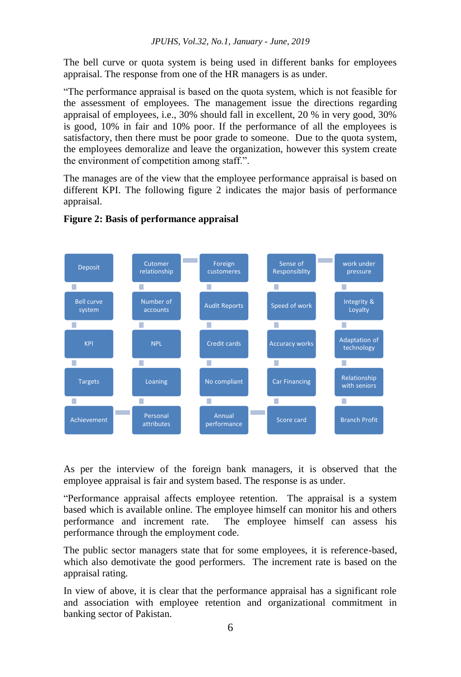The bell curve or quota system is being used in different banks for employees appraisal. The response from one of the HR managers is as under.

"The performance appraisal is based on the quota system, which is not feasible for the assessment of employees. The management issue the directions regarding appraisal of employees, i.e., 30% should fall in excellent, 20 % in very good, 30% is good, 10% in fair and 10% poor. If the performance of all the employees is satisfactory, then there must be poor grade to someone. Due to the quota system, the employees demoralize and leave the organization, however this system create the environment of competition among staff.".

The manages are of the view that the employee performance appraisal is based on different KPI. The following figure 2 indicates the major basis of performance appraisal.



# **Figure 2: Basis of performance appraisal**

As per the interview of the foreign bank managers, it is observed that the employee appraisal is fair and system based. The response is as under.

"Performance appraisal affects employee retention. The appraisal is a system based which is available online. The employee himself can monitor his and others performance and increment rate. The employee himself can assess his performance through the employment code.

The public sector managers state that for some employees, it is reference-based, which also demotivate the good performers. The increment rate is based on the appraisal rating.

In view of above, it is clear that the performance appraisal has a significant role and association with employee retention and organizational commitment in banking sector of Pakistan.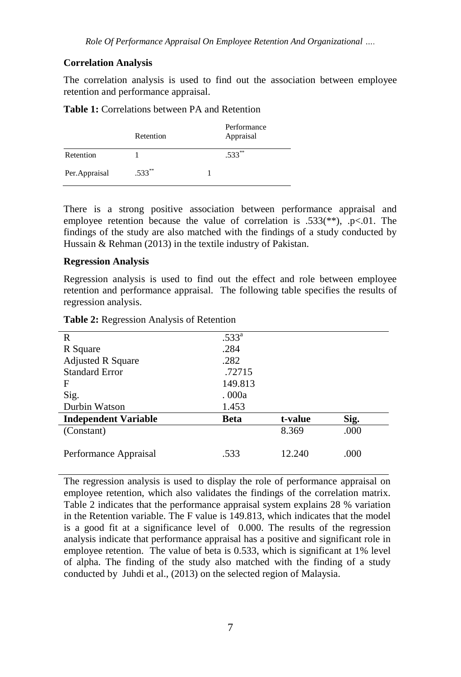#### **Correlation Analysis**

The correlation analysis is used to find out the association between employee retention and performance appraisal.

#### **Table 1:** Correlations between PA and Retention

|                | Retention | Performance<br>Appraisal |
|----------------|-----------|--------------------------|
| Retention      |           | $.533***$                |
| Per. Appraisal | $.533***$ |                          |

There is a strong positive association between performance appraisal and employee retention because the value of correlation is .533(\*\*), .p<.01. The findings of the study are also matched with the findings of a study conducted by Hussain & Rehman (2013) in the textile industry of Pakistan.

#### **Regression Analysis**

Regression analysis is used to find out the effect and role between employee retention and performance appraisal. The following table specifies the results of regression analysis.

| R                           | .533 <sup>a</sup> |         |      |
|-----------------------------|-------------------|---------|------|
| R Square                    | .284              |         |      |
| <b>Adjusted R Square</b>    | .282              |         |      |
| <b>Standard Error</b>       | .72715            |         |      |
| F                           | 149.813           |         |      |
| Sig.                        | . 000a            |         |      |
| Durbin Watson               | 1.453             |         |      |
| <b>Independent Variable</b> | <b>Beta</b>       | t-value | Sig. |
| (Constant)                  |                   | 8.369   | .000 |
|                             |                   |         |      |
| Performance Appraisal       | .533              | 12.240  | .000 |
|                             |                   |         |      |

**Table 2:** Regression Analysis of Retention

The regression analysis is used to display the role of performance appraisal on employee retention, which also validates the findings of the correlation matrix. Table 2 indicates that the performance appraisal system explains 28 % variation in the Retention variable. The F value is 149.813, which indicates that the model is a good fit at a significance level of 0.000. The results of the regression analysis indicate that performance appraisal has a positive and significant role in employee retention. The value of beta is 0.533, which is significant at 1% level of alpha. The finding of the study also matched with the finding of a study conducted by Juhdi et al., (2013) on the selected region of Malaysia.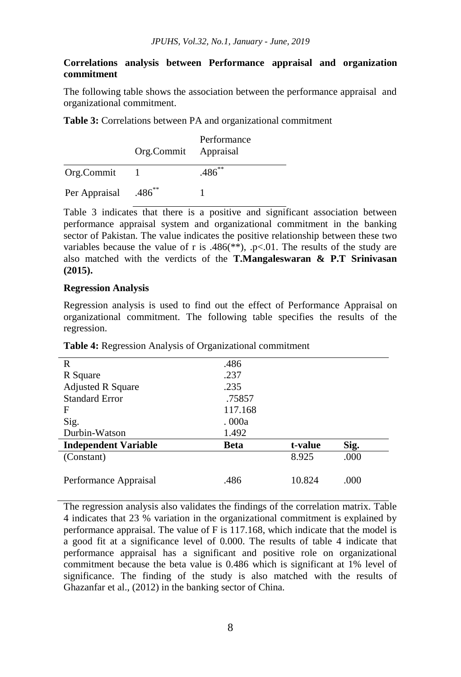#### **Correlations analysis between Performance appraisal and organization commitment**

The following table shows the association between the performance appraisal and organizational commitment.

**Table 3:** Correlations between PA and organizational commitment

|                                  | Org.Commit Appraisal | Performance |
|----------------------------------|----------------------|-------------|
| Org.Commit                       |                      | $.486^{**}$ |
| Per Appraisal .486 <sup>**</sup> |                      |             |

Table 3 indicates that there is a positive and significant association between performance appraisal system and organizational commitment in the banking sector of Pakistan. The value indicates the positive relationship between these two variables because the value of r is .486(\*\*), .p<.01. The results of the study are also matched with the verdicts of the **T.Mangaleswaran & P.T Srinivasan (2015).**

#### **Regression Analysis**

Regression analysis is used to find out the effect of Performance Appraisal on organizational commitment. The following table specifies the results of the regression.

| R                           | .486        |         |      |
|-----------------------------|-------------|---------|------|
| R Square                    | .237        |         |      |
| <b>Adjusted R Square</b>    | .235        |         |      |
| <b>Standard Error</b>       | .75857      |         |      |
| F                           | 117.168     |         |      |
| Sig.                        | . 000a      |         |      |
| Durbin-Watson               | 1.492       |         |      |
| <b>Independent Variable</b> | <b>Beta</b> | t-value | Sig. |
| (Constant)                  |             | 8.925   | .000 |
|                             |             |         |      |
| Performance Appraisal       | .486        | 10.824  | .000 |

**Table 4:** Regression Analysis of Organizational commitment

The regression analysis also validates the findings of the correlation matrix. Table 4 indicates that 23 % variation in the organizational commitment is explained by performance appraisal. The value of F is 117.168, which indicate that the model is a good fit at a significance level of 0.000. The results of table 4 indicate that performance appraisal has a significant and positive role on organizational commitment because the beta value is 0.486 which is significant at 1% level of significance. The finding of the study is also matched with the results of Ghazanfar et al., (2012) in the banking sector of China.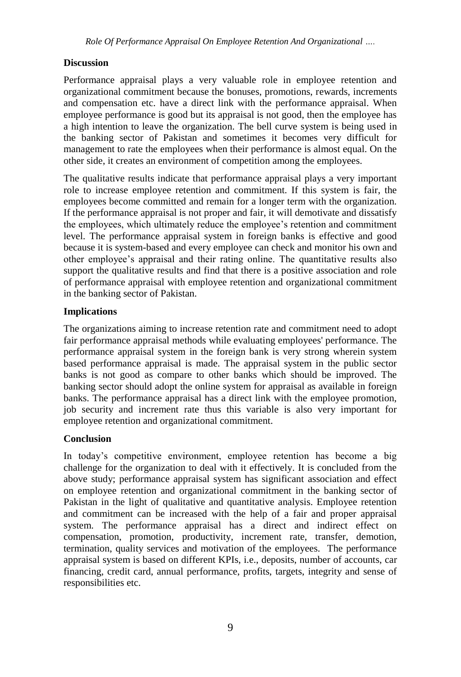# **Discussion**

Performance appraisal plays a very valuable role in employee retention and organizational commitment because the bonuses, promotions, rewards, increments and compensation etc. have a direct link with the performance appraisal. When employee performance is good but its appraisal is not good, then the employee has a high intention to leave the organization. The bell curve system is being used in the banking sector of Pakistan and sometimes it becomes very difficult for management to rate the employees when their performance is almost equal. On the other side, it creates an environment of competition among the employees.

The qualitative results indicate that performance appraisal plays a very important role to increase employee retention and commitment. If this system is fair, the employees become committed and remain for a longer term with the organization. If the performance appraisal is not proper and fair, it will demotivate and dissatisfy the employees, which ultimately reduce the employee's retention and commitment level. The performance appraisal system in foreign banks is effective and good because it is system-based and every employee can check and monitor his own and other employee"s appraisal and their rating online. The quantitative results also support the qualitative results and find that there is a positive association and role of performance appraisal with employee retention and organizational commitment in the banking sector of Pakistan.

### **Implications**

The organizations aiming to increase retention rate and commitment need to adopt fair performance appraisal methods while evaluating employees' performance. The performance appraisal system in the foreign bank is very strong wherein system based performance appraisal is made. The appraisal system in the public sector banks is not good as compare to other banks which should be improved. The banking sector should adopt the online system for appraisal as available in foreign banks. The performance appraisal has a direct link with the employee promotion, job security and increment rate thus this variable is also very important for employee retention and organizational commitment.

### **Conclusion**

In today"s competitive environment, employee retention has become a big challenge for the organization to deal with it effectively. It is concluded from the above study; performance appraisal system has significant association and effect on employee retention and organizational commitment in the banking sector of Pakistan in the light of qualitative and quantitative analysis. Employee retention and commitment can be increased with the help of a fair and proper appraisal system. The performance appraisal has a direct and indirect effect on compensation, promotion, productivity, increment rate, transfer, demotion, termination, quality services and motivation of the employees. The performance appraisal system is based on different KPIs, i.e., deposits, number of accounts, car financing, credit card, annual performance, profits, targets, integrity and sense of responsibilities etc.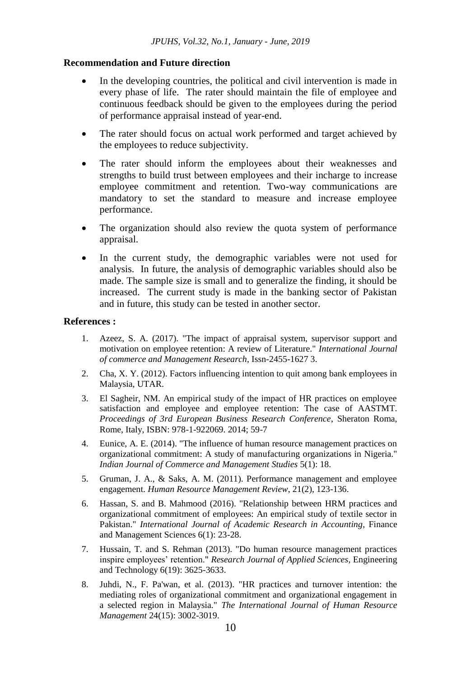#### **Recommendation and Future direction**

- In the developing countries, the political and civil intervention is made in every phase of life. The rater should maintain the file of employee and continuous feedback should be given to the employees during the period of performance appraisal instead of year-end.
- The rater should focus on actual work performed and target achieved by the employees to reduce subjectivity.
- The rater should inform the employees about their weaknesses and strengths to build trust between employees and their incharge to increase employee commitment and retention. Two-way communications are mandatory to set the standard to measure and increase employee performance.
- The organization should also review the quota system of performance appraisal.
- In the current study, the demographic variables were not used for analysis. In future, the analysis of demographic variables should also be made. The sample size is small and to generalize the finding, it should be increased. The current study is made in the banking sector of Pakistan and in future, this study can be tested in another sector.

#### **References :**

- 1. Azeez, S. A. (2017). "The impact of appraisal system, supervisor support and motivation on employee retention: A review of Literature." *International Journal of commerce and Management Research*, Issn-2455-1627 3.
- 2. Cha, X. Y. (2012). Factors influencing intention to quit among bank employees in Malaysia, UTAR.
- 3. El Sagheir, NM. An empirical study of the impact of HR practices on employee satisfaction and employee and employee retention: The case of AASTMT. *Proceedings of 3rd European Business Research Conference*, Sheraton Roma, Rome, Italy, ISBN: 978-1-922069. 2014; 59-7
- 4. Eunice, A. E. (2014). "The influence of human resource management practices on organizational commitment: A study of manufacturing organizations in Nigeria." *Indian Journal of Commerce and Management Studies* 5(1): 18.
- 5. Gruman, J. A., & Saks, A. M. (2011). Performance management and employee engagement. *Human Resource Management Review*, 21(2), 123-136.
- 6. Hassan, S. and B. Mahmood (2016). "Relationship between HRM practices and organizational commitment of employees: An empirical study of textile sector in Pakistan." *International Journal of Academic Research in Accounting*, Finance and Management Sciences 6(1): 23-28.
- 7. Hussain, T. and S. Rehman (2013). "Do human resource management practices inspire employees" retention." *Research Journal of Applied Sciences*, Engineering and Technology 6(19): 3625-3633.
- 8. Juhdi, N., F. Pa'wan, et al. (2013). "HR practices and turnover intention: the mediating roles of organizational commitment and organizational engagement in a selected region in Malaysia." *The International Journal of Human Resource Management* 24(15): 3002-3019.